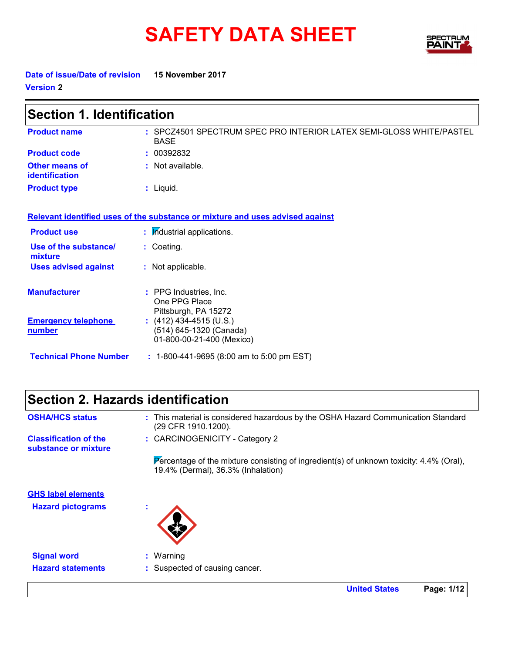# **SAFETY DATA SHEET**



**United States Page: 1/12**

**Date of issue/Date of revision 15 November 2017 Version 2**

| <b>Section 1. Identification</b>        |                                                                                    |  |
|-----------------------------------------|------------------------------------------------------------------------------------|--|
| <b>Product name</b>                     | : SPCZ4501 SPECTRUM SPEC PRO INTERIOR LATEX SEMI-GLOSS WHITE/PASTEL<br><b>BASE</b> |  |
| <b>Product code</b>                     | : 00392832                                                                         |  |
| <b>Other means of</b><br>identification | : Not available.                                                                   |  |
| <b>Product type</b>                     | : Liquid.                                                                          |  |
|                                         | Relevant identified uses of the substance or mixture and uses advised against      |  |
| <b>Product use</b>                      | : Industrial applications.                                                         |  |
| Use of the substance/<br>mixture        | : Coating.                                                                         |  |
| <b>Uses advised against</b>             | : Not applicable.                                                                  |  |
| <b>Manufacturer</b>                     | : PPG Industries, Inc.<br>One PPG Place<br>Pittsburgh, PA 15272                    |  |
| <b>Emergency telephone</b><br>number    | $(412)$ 434-4515 (U.S.)<br>(514) 645-1320 (Canada)<br>01-800-00-21-400 (Mexico)    |  |
| <b>Technical Phone Number</b>           | $: 1-800-441-9695 (8:00 am to 5:00 pm EST)$                                        |  |

### **Section 2. Hazards identification**

| <b>OSHA/HCS status</b>                               | : This material is considered hazardous by the OSHA Hazard Communication Standard<br>(29 CFR 1910.1200).                         |
|------------------------------------------------------|----------------------------------------------------------------------------------------------------------------------------------|
| <b>Classification of the</b><br>substance or mixture | : CARCINOGENICITY - Category 2                                                                                                   |
|                                                      | Percentage of the mixture consisting of ingredient(s) of unknown toxicity: $4.4\%$ (Oral),<br>19.4% (Dermal), 36.3% (Inhalation) |
| <b>GHS label elements</b>                            |                                                                                                                                  |
| <b>Hazard pictograms</b>                             |                                                                                                                                  |
| <b>Signal word</b>                                   | $:$ Warning                                                                                                                      |
| <b>Hazard statements</b>                             | : Suspected of causing cancer.                                                                                                   |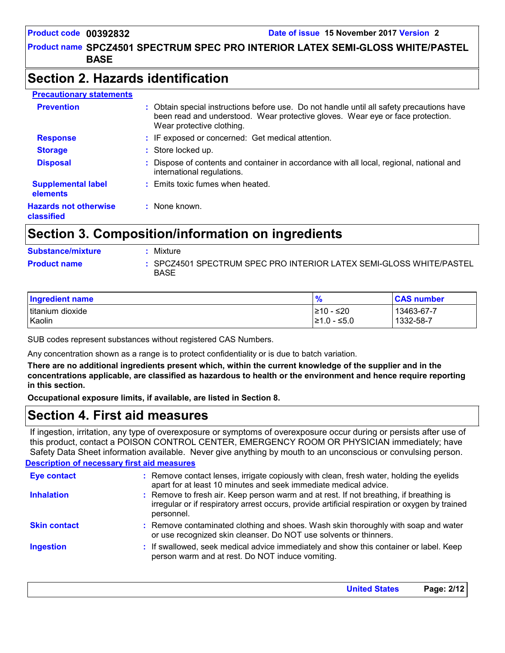#### **Product name SPCZ4501 SPECTRUM SPEC PRO INTERIOR LATEX SEMI-GLOSS WHITE/PASTEL BASE**

### **Section 2. Hazards identification**

| <b>Precautionary statements</b>            |                                                                                                                                                                                                          |
|--------------------------------------------|----------------------------------------------------------------------------------------------------------------------------------------------------------------------------------------------------------|
| <b>Prevention</b>                          | : Obtain special instructions before use. Do not handle until all safety precautions have<br>been read and understood. Wear protective gloves. Wear eye or face protection.<br>Wear protective clothing. |
| <b>Response</b>                            | : IF exposed or concerned: Get medical attention.                                                                                                                                                        |
| <b>Storage</b>                             | : Store locked up.                                                                                                                                                                                       |
| <b>Disposal</b>                            | Dispose of contents and container in accordance with all local, regional, national and<br>international regulations.                                                                                     |
| <b>Supplemental label</b><br>elements      | : Emits toxic fumes when heated.                                                                                                                                                                         |
| <b>Hazards not otherwise</b><br>classified | : None known.                                                                                                                                                                                            |

### **Section 3. Composition/information on ingredients**

| <b>Substance/mixture</b> | Mixture                                                                            |
|--------------------------|------------------------------------------------------------------------------------|
| <b>Product name</b>      | : SPCZ4501 SPECTRUM SPEC PRO INTERIOR LATEX SEMI-GLOSS WHITE/PASTEL<br><b>BASE</b> |

| Ingredient name  | $\frac{9}{6}$ | <b>CAS number</b> |
|------------------|---------------|-------------------|
| titanium dioxide | 10 - ≤20      | 13463-67-7        |
| Kaolin           | l≥1.0 - ≤5.0  | 1332-58-7         |

SUB codes represent substances without registered CAS Numbers.

Any concentration shown as a range is to protect confidentiality or is due to batch variation.

**There are no additional ingredients present which, within the current knowledge of the supplier and in the concentrations applicable, are classified as hazardous to health or the environment and hence require reporting in this section.**

**Occupational exposure limits, if available, are listed in Section 8.**

### **Section 4. First aid measures**

If ingestion, irritation, any type of overexposure or symptoms of overexposure occur during or persists after use of this product, contact a POISON CONTROL CENTER, EMERGENCY ROOM OR PHYSICIAN immediately; have Safety Data Sheet information available. Never give anything by mouth to an unconscious or convulsing person.

#### **Description of necessary first aid measures**

| <b>Eye contact</b>  | : Remove contact lenses, irrigate copiously with clean, fresh water, holding the eyelids<br>apart for at least 10 minutes and seek immediate medical advice.                                           |
|---------------------|--------------------------------------------------------------------------------------------------------------------------------------------------------------------------------------------------------|
| <b>Inhalation</b>   | : Remove to fresh air. Keep person warm and at rest. If not breathing, if breathing is<br>irregular or if respiratory arrest occurs, provide artificial respiration or oxygen by trained<br>personnel. |
| <b>Skin contact</b> | : Remove contaminated clothing and shoes. Wash skin thoroughly with soap and water<br>or use recognized skin cleanser. Do NOT use solvents or thinners.                                                |
| <b>Ingestion</b>    | : If swallowed, seek medical advice immediately and show this container or label. Keep<br>person warm and at rest. Do NOT induce vomiting.                                                             |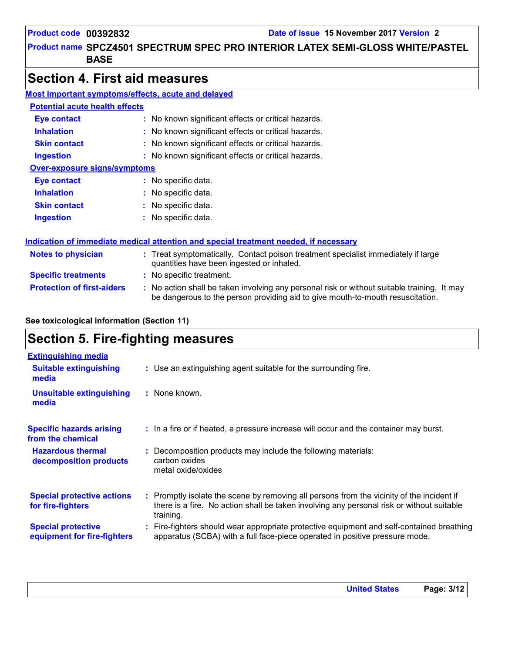### **Product name SPCZ4501 SPECTRUM SPEC PRO INTERIOR LATEX SEMI-GLOSS WHITE/PASTEL BASE**

### **Section 4. First aid measures**

| Most important symptoms/effects, acute and delayed |                                                                                                                                                                               |
|----------------------------------------------------|-------------------------------------------------------------------------------------------------------------------------------------------------------------------------------|
| <b>Potential acute health effects</b>              |                                                                                                                                                                               |
| Eye contact                                        | : No known significant effects or critical hazards.                                                                                                                           |
| <b>Inhalation</b>                                  | : No known significant effects or critical hazards.                                                                                                                           |
| <b>Skin contact</b>                                | : No known significant effects or critical hazards.                                                                                                                           |
| <b>Ingestion</b>                                   | : No known significant effects or critical hazards.                                                                                                                           |
| <b>Over-exposure signs/symptoms</b>                |                                                                                                                                                                               |
| <b>Eye contact</b>                                 | : No specific data.                                                                                                                                                           |
| <b>Inhalation</b>                                  | : No specific data.                                                                                                                                                           |
| <b>Skin contact</b>                                | : No specific data.                                                                                                                                                           |
| <b>Ingestion</b>                                   | : No specific data.                                                                                                                                                           |
|                                                    | Indication of immediate medical attention and special treatment needed, if necessary                                                                                          |
| <b>Notes to physician</b>                          | : Treat symptomatically. Contact poison treatment specialist immediately if large<br>quantities have been ingested or inhaled.                                                |
| <b>Specific treatments</b>                         | : No specific treatment.                                                                                                                                                      |
| <b>Protection of first-aiders</b>                  | : No action shall be taken involving any personal risk or without suitable training. It may<br>be dangerous to the person providing aid to give mouth-to-mouth resuscitation. |

#### **See toxicological information (Section 11)**

### **Section 5. Fire-fighting measures**

| <b>Extinguishing media</b>                               |                                                                                                                                                                                                     |
|----------------------------------------------------------|-----------------------------------------------------------------------------------------------------------------------------------------------------------------------------------------------------|
| <b>Suitable extinguishing</b><br>media                   | : Use an extinguishing agent suitable for the surrounding fire.                                                                                                                                     |
| <b>Unsuitable extinguishing</b><br>media                 | : None known.                                                                                                                                                                                       |
| <b>Specific hazards arising</b><br>from the chemical     | : In a fire or if heated, a pressure increase will occur and the container may burst.                                                                                                               |
| <b>Hazardous thermal</b><br>decomposition products       | Decomposition products may include the following materials:<br>carbon oxides<br>metal oxide/oxides                                                                                                  |
| <b>Special protective actions</b><br>for fire-fighters   | : Promptly isolate the scene by removing all persons from the vicinity of the incident if<br>there is a fire. No action shall be taken involving any personal risk or without suitable<br>training. |
| <b>Special protective</b><br>equipment for fire-fighters | Fire-fighters should wear appropriate protective equipment and self-contained breathing<br>apparatus (SCBA) with a full face-piece operated in positive pressure mode.                              |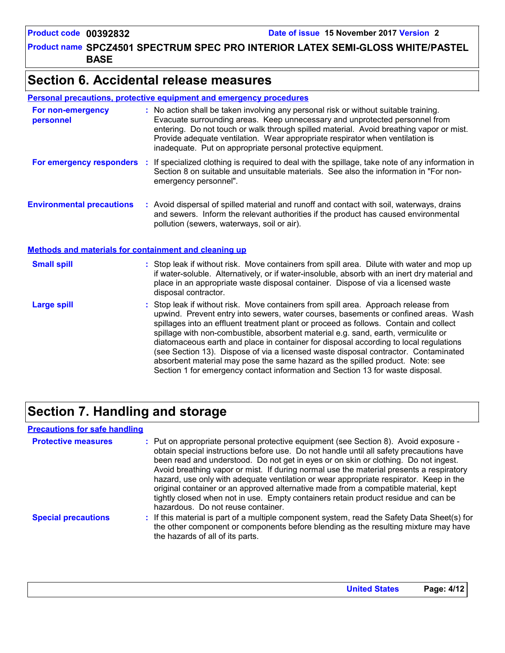**Product name SPCZ4501 SPECTRUM SPEC PRO INTERIOR LATEX SEMI-GLOSS WHITE/PASTEL BASE**

### **Section 6. Accidental release measures**

#### **Personal precautions, protective equipment and emergency procedures**

| For non-emergency<br>personnel                               | : No action shall be taken involving any personal risk or without suitable training.<br>Evacuate surrounding areas. Keep unnecessary and unprotected personnel from<br>entering. Do not touch or walk through spilled material. Avoid breathing vapor or mist.<br>Provide adequate ventilation. Wear appropriate respirator when ventilation is<br>inadequate. Put on appropriate personal protective equipment.                                                                                                                                                                                                                                                                                             |
|--------------------------------------------------------------|--------------------------------------------------------------------------------------------------------------------------------------------------------------------------------------------------------------------------------------------------------------------------------------------------------------------------------------------------------------------------------------------------------------------------------------------------------------------------------------------------------------------------------------------------------------------------------------------------------------------------------------------------------------------------------------------------------------|
| For emergency responders                                     | : If specialized clothing is required to deal with the spillage, take note of any information in<br>Section 8 on suitable and unsuitable materials. See also the information in "For non-<br>emergency personnel".                                                                                                                                                                                                                                                                                                                                                                                                                                                                                           |
| <b>Environmental precautions</b>                             | : Avoid dispersal of spilled material and runoff and contact with soil, waterways, drains<br>and sewers. Inform the relevant authorities if the product has caused environmental<br>pollution (sewers, waterways, soil or air).                                                                                                                                                                                                                                                                                                                                                                                                                                                                              |
| <b>Methods and materials for containment and cleaning up</b> |                                                                                                                                                                                                                                                                                                                                                                                                                                                                                                                                                                                                                                                                                                              |
| <b>Small spill</b>                                           | : Stop leak if without risk. Move containers from spill area. Dilute with water and mop up<br>if water-soluble. Alternatively, or if water-insoluble, absorb with an inert dry material and<br>place in an appropriate waste disposal container. Dispose of via a licensed waste<br>disposal contractor.                                                                                                                                                                                                                                                                                                                                                                                                     |
| <b>Large spill</b>                                           | : Stop leak if without risk. Move containers from spill area. Approach release from<br>upwind. Prevent entry into sewers, water courses, basements or confined areas. Wash<br>spillages into an effluent treatment plant or proceed as follows. Contain and collect<br>spillage with non-combustible, absorbent material e.g. sand, earth, vermiculite or<br>diatomaceous earth and place in container for disposal according to local regulations<br>(see Section 13). Dispose of via a licensed waste disposal contractor. Contaminated<br>absorbent material may pose the same hazard as the spilled product. Note: see<br>Section 1 for emergency contact information and Section 13 for waste disposal. |

### **Section 7. Handling and storage**

#### **Precautions for safe handling**

| <b>Protective measures</b> | : Put on appropriate personal protective equipment (see Section 8). Avoid exposure -<br>obtain special instructions before use. Do not handle until all safety precautions have<br>been read and understood. Do not get in eyes or on skin or clothing. Do not ingest.<br>Avoid breathing vapor or mist. If during normal use the material presents a respiratory<br>hazard, use only with adequate ventilation or wear appropriate respirator. Keep in the<br>original container or an approved alternative made from a compatible material, kept<br>tightly closed when not in use. Empty containers retain product residue and can be<br>hazardous. Do not reuse container. |
|----------------------------|--------------------------------------------------------------------------------------------------------------------------------------------------------------------------------------------------------------------------------------------------------------------------------------------------------------------------------------------------------------------------------------------------------------------------------------------------------------------------------------------------------------------------------------------------------------------------------------------------------------------------------------------------------------------------------|
| <b>Special precautions</b> | : If this material is part of a multiple component system, read the Safety Data Sheet(s) for<br>the other component or components before blending as the resulting mixture may have<br>the hazards of all of its parts.                                                                                                                                                                                                                                                                                                                                                                                                                                                        |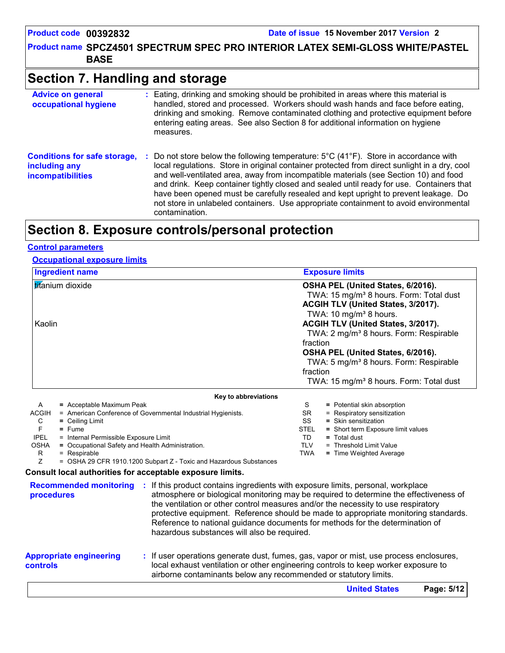**Product name SPCZ4501 SPECTRUM SPEC PRO INTERIOR LATEX SEMI-GLOSS WHITE/PASTEL BASE**

### **Section 7. Handling and storage**

| <b>Advice on general</b><br>occupational hygiene                                 | : Eating, drinking and smoking should be prohibited in areas where this material is<br>handled, stored and processed. Workers should wash hands and face before eating,<br>drinking and smoking. Remove contaminated clothing and protective equipment before<br>entering eating areas. See also Section 8 for additional information on hygiene<br>measures.                                                                                                                                                                                                                                         |
|----------------------------------------------------------------------------------|-------------------------------------------------------------------------------------------------------------------------------------------------------------------------------------------------------------------------------------------------------------------------------------------------------------------------------------------------------------------------------------------------------------------------------------------------------------------------------------------------------------------------------------------------------------------------------------------------------|
| <b>Conditions for safe storage,</b><br>including any<br><b>incompatibilities</b> | Do not store below the following temperature: $5^{\circ}$ C (41 <sup>o</sup> F). Store in accordance with<br>÷.<br>local regulations. Store in original container protected from direct sunlight in a dry, cool<br>and well-ventilated area, away from incompatible materials (see Section 10) and food<br>and drink. Keep container tightly closed and sealed until ready for use. Containers that<br>have been opened must be carefully resealed and kept upright to prevent leakage. Do<br>not store in unlabeled containers. Use appropriate containment to avoid environmental<br>contamination. |

### **Section 8. Exposure controls/personal protection**

#### **Control parameters**

#### **Occupational exposure limits**

| <b>Ingredient name</b>                                                                                         | <b>Exposure limits</b>                                                                   |  |  |  |
|----------------------------------------------------------------------------------------------------------------|------------------------------------------------------------------------------------------|--|--|--|
| <b>titanium</b> dioxide                                                                                        | OSHA PEL (United States, 6/2016).<br>TWA: 15 mg/m <sup>3</sup> 8 hours. Form: Total dust |  |  |  |
|                                                                                                                | <b>ACGIH TLV (United States, 3/2017).</b>                                                |  |  |  |
|                                                                                                                | TWA: 10 mg/m <sup>3</sup> 8 hours.                                                       |  |  |  |
| l Kaolin                                                                                                       | ACGIH TLV (United States, 3/2017).                                                       |  |  |  |
|                                                                                                                | TWA: 2 mg/m <sup>3</sup> 8 hours. Form: Respirable                                       |  |  |  |
|                                                                                                                | fraction                                                                                 |  |  |  |
|                                                                                                                | OSHA PEL (United States, 6/2016).                                                        |  |  |  |
|                                                                                                                | TWA: 5 mg/m <sup>3</sup> 8 hours. Form: Respirable                                       |  |  |  |
|                                                                                                                | fraction                                                                                 |  |  |  |
|                                                                                                                | TWA: 15 mg/m <sup>3</sup> 8 hours. Form: Total dust                                      |  |  |  |
| Key to abbreviations                                                                                           |                                                                                          |  |  |  |
| = Acceptable Maximum Peak<br>A                                                                                 | S<br>= Potential skin absorption                                                         |  |  |  |
| <b>ACGIH</b><br>= American Conference of Governmental Industrial Hygienists.                                   | = Respiratory sensitization<br><b>SR</b>                                                 |  |  |  |
| C<br>$=$ Ceiling Limit                                                                                         | SS<br>$=$ Skin sensitization                                                             |  |  |  |
| F<br>$=$ Fume<br><b>IPEL</b>                                                                                   | <b>STEL</b><br>= Short term Exposure limit values<br>TD<br>$=$ Total dust                |  |  |  |
| = Internal Permissible Exposure Limit<br><b>OSHA</b><br>= Occupational Safety and Health Administration.       | <b>TLV</b><br>= Threshold Limit Value                                                    |  |  |  |
| R<br>= Respirable                                                                                              | <b>TWA</b><br>= Time Weighted Average                                                    |  |  |  |
| Z<br>= OSHA 29 CFR 1910.1200 Subpart Z - Toxic and Hazardous Substances                                        |                                                                                          |  |  |  |
| Consult local authorities for acceptable exposure limits.                                                      |                                                                                          |  |  |  |
| <b>Recommended monitoring :</b> If this product contains ingredients with exposure limits, personal, workplace |                                                                                          |  |  |  |

#### **procedures** atmosphere or biological monitoring may be required to determine the effectiveness of the ventilation or other control measures and/or the necessity to use respiratory protective equipment. Reference should be made to appropriate monitoring standards. Reference to national guidance documents for methods for the determination of

hazardous substances will also be required.

#### **Appropriate engineering controls**

**:** If user operations generate dust, fumes, gas, vapor or mist, use process enclosures, local exhaust ventilation or other engineering controls to keep worker exposure to airborne contaminants below any recommended or statutory limits.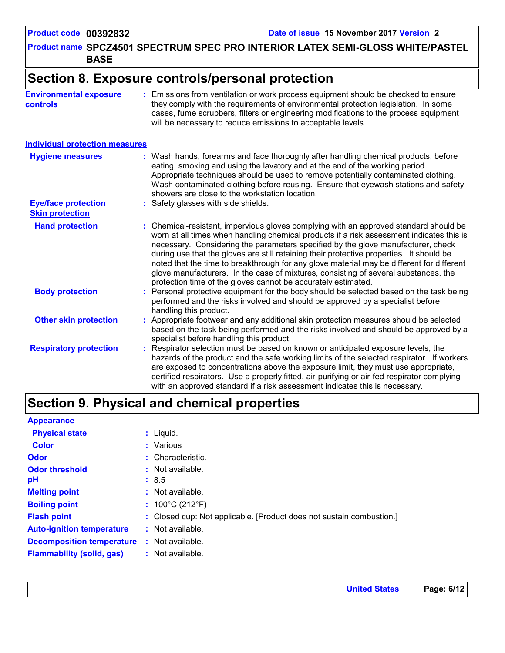**Product name SPCZ4501 SPECTRUM SPEC PRO INTERIOR LATEX SEMI-GLOSS WHITE/PASTEL BASE**

### **Section 8. Exposure controls/personal protection**

**Environmental exposure controls :** Emissions from ventilation or work process equipment should be checked to ensure they comply with the requirements of environmental protection legislation. In some cases, fume scrubbers, filters or engineering modifications to the process equipment will be necessary to reduce emissions to acceptable levels.

#### **Individual protection measures**

| <b>Hygiene measures</b>                              | : Wash hands, forearms and face thoroughly after handling chemical products, before<br>eating, smoking and using the lavatory and at the end of the working period.<br>Appropriate techniques should be used to remove potentially contaminated clothing.<br>Wash contaminated clothing before reusing. Ensure that eyewash stations and safety<br>showers are close to the workstation location.                                                                                                                                                                                                                      |
|------------------------------------------------------|------------------------------------------------------------------------------------------------------------------------------------------------------------------------------------------------------------------------------------------------------------------------------------------------------------------------------------------------------------------------------------------------------------------------------------------------------------------------------------------------------------------------------------------------------------------------------------------------------------------------|
| <b>Eye/face protection</b><br><b>Skin protection</b> | : Safety glasses with side shields.                                                                                                                                                                                                                                                                                                                                                                                                                                                                                                                                                                                    |
| <b>Hand protection</b>                               | : Chemical-resistant, impervious gloves complying with an approved standard should be<br>worn at all times when handling chemical products if a risk assessment indicates this is<br>necessary. Considering the parameters specified by the glove manufacturer, check<br>during use that the gloves are still retaining their protective properties. It should be<br>noted that the time to breakthrough for any glove material may be different for different<br>glove manufacturers. In the case of mixtures, consisting of several substances, the<br>protection time of the gloves cannot be accurately estimated. |
| <b>Body protection</b>                               | : Personal protective equipment for the body should be selected based on the task being<br>performed and the risks involved and should be approved by a specialist before<br>handling this product.                                                                                                                                                                                                                                                                                                                                                                                                                    |
| <b>Other skin protection</b>                         | : Appropriate footwear and any additional skin protection measures should be selected<br>based on the task being performed and the risks involved and should be approved by a<br>specialist before handling this product.                                                                                                                                                                                                                                                                                                                                                                                              |
| <b>Respiratory protection</b>                        | : Respirator selection must be based on known or anticipated exposure levels, the<br>hazards of the product and the safe working limits of the selected respirator. If workers<br>are exposed to concentrations above the exposure limit, they must use appropriate,<br>certified respirators. Use a properly fitted, air-purifying or air-fed respirator complying<br>with an approved standard if a risk assessment indicates this is necessary.                                                                                                                                                                     |

### **Section 9. Physical and chemical properties**

| <b>Appearance</b>                |                                                                      |
|----------------------------------|----------------------------------------------------------------------|
| <b>Physical state</b>            | $:$ Liquid.                                                          |
| <b>Color</b>                     | : Various                                                            |
| <b>Odor</b>                      | : Characteristic.                                                    |
| <b>Odor threshold</b>            | $\cdot$ Not available.                                               |
| рH                               | : 8.5                                                                |
| <b>Melting point</b>             | $:$ Not available.                                                   |
| <b>Boiling point</b>             | : $100^{\circ}$ C (212 $^{\circ}$ F)                                 |
| <b>Flash point</b>               | : Closed cup: Not applicable. [Product does not sustain combustion.] |
| <b>Auto-ignition temperature</b> | $:$ Not available.                                                   |
| <b>Decomposition temperature</b> | $:$ Not available.                                                   |
| <b>Flammability (solid, gas)</b> | $:$ Not available.                                                   |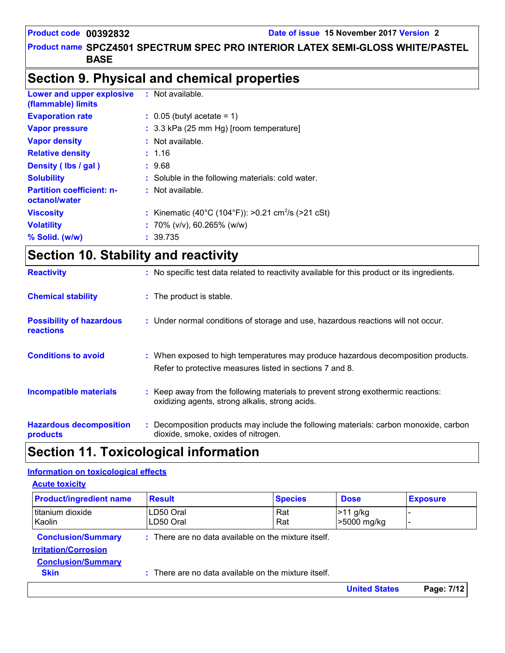#### **Product name SPCZ4501 SPECTRUM SPEC PRO INTERIOR LATEX SEMI-GLOSS WHITE/PASTEL BASE**

### **Section 9. Physical and chemical properties**

| <b>Lower and upper explosive</b><br>(flammable) limits | : Not available.                                               |
|--------------------------------------------------------|----------------------------------------------------------------|
| <b>Evaporation rate</b>                                | $\therefore$ 0.05 (butyl acetate = 1)                          |
| <b>Vapor pressure</b>                                  | : 3.3 kPa (25 mm Hg) [room temperature]                        |
| <b>Vapor density</b>                                   | : Not available.                                               |
| <b>Relative density</b>                                | : 1.16                                                         |
| Density (lbs / gal)                                    | : 9.68                                                         |
| <b>Solubility</b>                                      | : Soluble in the following materials: cold water.              |
| <b>Partition coefficient: n-</b><br>octanol/water      | $:$ Not available.                                             |
| <b>Viscosity</b>                                       | : Kinematic (40°C (104°F)): >0.21 cm <sup>2</sup> /s (>21 cSt) |
| <b>Volatility</b>                                      | : 70% ( $v/v$ ), 60.265% ( $w/w$ )                             |
| $%$ Solid. (w/w)                                       | : 39.735                                                       |

## **Section 10. Stability and reactivity**

| <b>Reactivity</b>                                   | : No specific test data related to reactivity available for this product or its ingredients.                                                  |
|-----------------------------------------------------|-----------------------------------------------------------------------------------------------------------------------------------------------|
| <b>Chemical stability</b>                           | : The product is stable.                                                                                                                      |
| <b>Possibility of hazardous</b><br><b>reactions</b> | : Under normal conditions of storage and use, hazardous reactions will not occur.                                                             |
| <b>Conditions to avoid</b>                          | : When exposed to high temperatures may produce hazardous decomposition products.<br>Refer to protective measures listed in sections 7 and 8. |
| <b>Incompatible materials</b>                       | : Keep away from the following materials to prevent strong exothermic reactions:<br>oxidizing agents, strong alkalis, strong acids.           |
| <b>Hazardous decomposition</b><br>products          | Decomposition products may include the following materials: carbon monoxide, carbon<br>dioxide, smoke, oxides of nitrogen.                    |

### **Section 11. Toxicological information**

#### **Information on toxicological effects**

| <b>Acute toxicity</b>                                    |                                                      |                                                    |                           |                 |
|----------------------------------------------------------|------------------------------------------------------|----------------------------------------------------|---------------------------|-----------------|
| <b>Product/ingredient name</b>                           | <b>Result</b>                                        | <b>Species</b>                                     | <b>Dose</b>               | <b>Exposure</b> |
| titanium dioxide<br>Kaolin                               | LD50 Oral<br>LD50 Oral                               | Rat<br>Rat                                         | $>11$ g/kg<br>>5000 mg/kg |                 |
| <b>Conclusion/Summary</b><br><b>Irritation/Corrosion</b> | : There are no data available on the mixture itself. |                                                    |                           |                 |
| <b>Conclusion/Summary</b><br><b>Skin</b>                 |                                                      | There are no data available on the mixture itself. |                           |                 |
|                                                          |                                                      |                                                    | <b>United States</b>      | Page: 7/12      |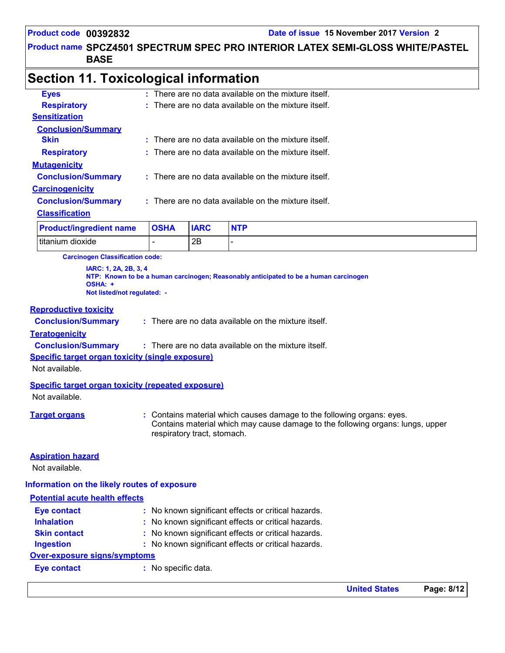**Product name SPCZ4501 SPECTRUM SPEC PRO INTERIOR LATEX SEMI-GLOSS WHITE/PASTEL BASE**

### **Section 11. Toxicological information**

| Deaduatlingenations nome  | <b>OCUA</b> | IADC | NTD                                                    |
|---------------------------|-------------|------|--------------------------------------------------------|
| <b>Classification</b>     |             |      |                                                        |
| <b>Conclusion/Summary</b> |             |      | $:$ There are no data available on the mixture itself. |
| <b>Carcinogenicity</b>    |             |      |                                                        |
| <b>Conclusion/Summary</b> |             |      | : There are no data available on the mixture itself.   |
| <b>Mutagenicity</b>       |             |      |                                                        |
| <b>Respiratory</b>        |             |      | : There are no data available on the mixture itself.   |
| <b>Skin</b>               |             |      | $:$ There are no data available on the mixture itself. |
| <b>Conclusion/Summary</b> |             |      |                                                        |
| <b>Sensitization</b>      |             |      |                                                        |
| <b>Respiratory</b>        |             |      | : There are no data available on the mixture itself.   |
| <b>Eves</b>               |             |      | $:$ There are no data available on the mixture itself. |

| <b>Product/ingredient name</b> | <b>OSHA</b> | <b>IARC</b> |  |
|--------------------------------|-------------|-------------|--|
| titanium dioxide               |             | Ω⊏<br>∠⊏    |  |

**Carcinogen Classification code:**

**IARC: 1, 2A, 2B, 3, 4 NTP: Known to be a human carcinogen; Reasonably anticipated to be a human carcinogen OSHA: + Not listed/not regulated: -**

#### **Reproductive toxicity**

**Conclusion/Summary :**

There are no data available on the mixture itself.

#### **Teratogenicity**

**Conclusion/Summary :** There are no data available on the mixture itself.

#### **Specific target organ toxicity (single exposure)**

Not available.

#### **Specific target organ toxicity (repeated exposure)**

Not available.

**Target organs :** Contains material which causes damage to the following organs: eyes. Contains material which may cause damage to the following organs: lungs, upper respiratory tract, stomach.

#### **Aspiration hazard**

Not available.

#### **Information on the likely routes of exposure**

### **Potential acute health effects Inhalation :** No known significant effects or critical hazards. **Ingestion :** No known significant effects or critical hazards. **Skin contact become the contact :** No known significant effects or critical hazards. **Eye contact :** No known significant effects or critical hazards. **Over-exposure signs/symptoms Eye contact :** No specific data.

**United States Page: 8/12**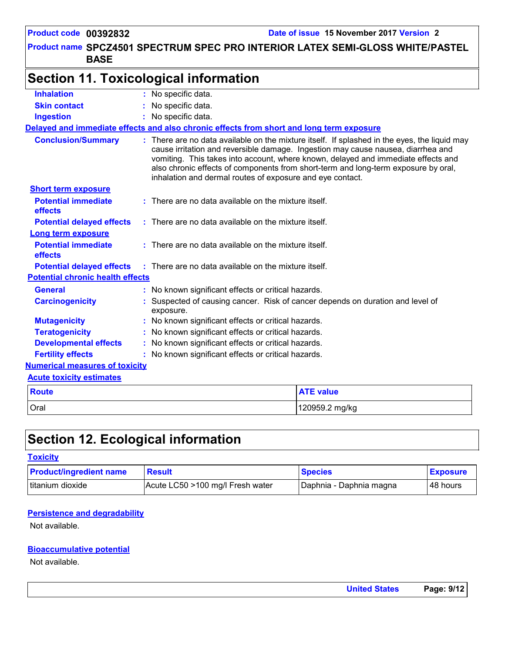**Product name SPCZ4501 SPECTRUM SPEC PRO INTERIOR LATEX SEMI-GLOSS WHITE/PASTEL BASE**

## **Section 11. Toxicological information**

| <b>Inhalation</b>                       | : No specific data.                                                                         |                                                                                                                                                                                                                                                                                                                                                             |  |  |  |
|-----------------------------------------|---------------------------------------------------------------------------------------------|-------------------------------------------------------------------------------------------------------------------------------------------------------------------------------------------------------------------------------------------------------------------------------------------------------------------------------------------------------------|--|--|--|
| <b>Skin contact</b>                     | No specific data.                                                                           |                                                                                                                                                                                                                                                                                                                                                             |  |  |  |
| <b>Ingestion</b>                        | No specific data.                                                                           |                                                                                                                                                                                                                                                                                                                                                             |  |  |  |
|                                         | Delayed and immediate effects and also chronic effects from short and long term exposure    |                                                                                                                                                                                                                                                                                                                                                             |  |  |  |
| <b>Conclusion/Summary</b>               | inhalation and dermal routes of exposure and eye contact.                                   | : There are no data available on the mixture itself. If splashed in the eyes, the liquid may<br>cause irritation and reversible damage. Ingestion may cause nausea, diarrhea and<br>vomiting. This takes into account, where known, delayed and immediate effects and<br>also chronic effects of components from short-term and long-term exposure by oral, |  |  |  |
| <b>Short term exposure</b>              |                                                                                             |                                                                                                                                                                                                                                                                                                                                                             |  |  |  |
| <b>Potential immediate</b><br>effects   | $:$ There are no data available on the mixture itself.                                      |                                                                                                                                                                                                                                                                                                                                                             |  |  |  |
| <b>Potential delayed effects</b>        | : There are no data available on the mixture itself.                                        |                                                                                                                                                                                                                                                                                                                                                             |  |  |  |
| <b>Long term exposure</b>               |                                                                                             |                                                                                                                                                                                                                                                                                                                                                             |  |  |  |
| <b>Potential immediate</b><br>effects   | : There are no data available on the mixture itself.                                        |                                                                                                                                                                                                                                                                                                                                                             |  |  |  |
| <b>Potential delayed effects</b>        | $\therefore$ There are no data available on the mixture itself.                             |                                                                                                                                                                                                                                                                                                                                                             |  |  |  |
| <b>Potential chronic health effects</b> |                                                                                             |                                                                                                                                                                                                                                                                                                                                                             |  |  |  |
| <b>General</b>                          | : No known significant effects or critical hazards.                                         |                                                                                                                                                                                                                                                                                                                                                             |  |  |  |
| <b>Carcinogenicity</b>                  | : Suspected of causing cancer. Risk of cancer depends on duration and level of<br>exposure. |                                                                                                                                                                                                                                                                                                                                                             |  |  |  |
| <b>Mutagenicity</b>                     | No known significant effects or critical hazards.                                           |                                                                                                                                                                                                                                                                                                                                                             |  |  |  |
| <b>Teratogenicity</b>                   |                                                                                             | : No known significant effects or critical hazards.                                                                                                                                                                                                                                                                                                         |  |  |  |
| <b>Developmental effects</b>            | : No known significant effects or critical hazards.                                         |                                                                                                                                                                                                                                                                                                                                                             |  |  |  |
| <b>Fertility effects</b>                | : No known significant effects or critical hazards.                                         |                                                                                                                                                                                                                                                                                                                                                             |  |  |  |
| <b>Numerical measures of toxicity</b>   |                                                                                             |                                                                                                                                                                                                                                                                                                                                                             |  |  |  |
| <b>Acute toxicity estimates</b>         |                                                                                             |                                                                                                                                                                                                                                                                                                                                                             |  |  |  |
| <b>Route</b>                            |                                                                                             | <b>ATE value</b>                                                                                                                                                                                                                                                                                                                                            |  |  |  |
| Oral                                    |                                                                                             | 120959.2 mg/kg                                                                                                                                                                                                                                                                                                                                              |  |  |  |

### **Section 12. Ecological information**

#### **Toxicity**

| <b>Product/ingredient name</b> | <b>Result</b>                    | <b>Species</b>            | <b>Exposure</b> |
|--------------------------------|----------------------------------|---------------------------|-----------------|
| Ititanium dioxide              | Acute LC50 >100 mg/l Fresh water | I Daphnia - Daphnia magna | 48 hours        |

#### **Persistence and degradability**

Not available.

#### **Bioaccumulative potential**

Not available.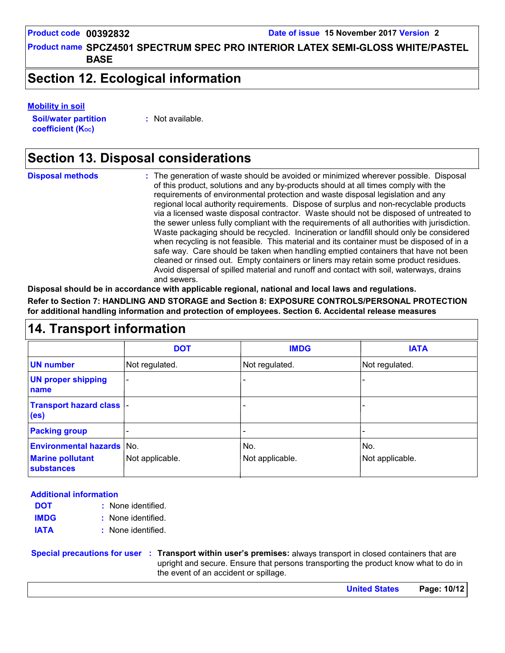**Product name SPCZ4501 SPECTRUM SPEC PRO INTERIOR LATEX SEMI-GLOSS WHITE/PASTEL BASE**

### **Section 12. Ecological information**

#### **Mobility in soil**

**Soil/water partition coefficient (K**<sub>oc</sub>)

**:** Not available.

### **Section 13. Disposal considerations**

The generation of waste should be avoided or minimized wherever possible. Disposal of this product, solutions and any by-products should at all times comply with the requirements of environmental protection and waste disposal legislation and any regional local authority requirements. Dispose of surplus and non-recyclable products via a licensed waste disposal contractor. Waste should not be disposed of untreated to the sewer unless fully compliant with the requirements of all authorities with jurisdiction. Waste packaging should be recycled. Incineration or landfill should only be considered when recycling is not feasible. This material and its container must be disposed of in a safe way. Care should be taken when handling emptied containers that have not been cleaned or rinsed out. Empty containers or liners may retain some product residues. Avoid dispersal of spilled material and runoff and contact with soil, waterways, drains and sewers. **Disposal methods :**

**Disposal should be in accordance with applicable regional, national and local laws and regulations.**

**Refer to Section 7: HANDLING AND STORAGE and Section 8: EXPOSURE CONTROLS/PERSONAL PROTECTION for additional handling information and protection of employees. Section 6. Accidental release measures**

### **14. Transport information**

|                                                                           | <b>DOT</b>                   | <b>IMDG</b>            | <b>IATA</b>            |
|---------------------------------------------------------------------------|------------------------------|------------------------|------------------------|
| <b>UN number</b>                                                          | Not regulated.               | Not regulated.         | Not regulated.         |
| <b>UN proper shipping</b><br>name                                         | $\qquad \qquad \blacksquare$ |                        |                        |
| Transport hazard class  -<br>(e <sub>s</sub> )                            |                              |                        |                        |
| <b>Packing group</b>                                                      |                              |                        |                        |
| <b>Environmental hazards No.</b><br><b>Marine pollutant</b><br>substances | Not applicable.              | No.<br>Not applicable. | No.<br>Not applicable. |

#### **Additional information**

- None identified. **: DOT**
- None identified. **: IMDG**
- **IATA :** None identified.

**Special precautions for user Transport within user's premises:** always transport in closed containers that are **:** upright and secure. Ensure that persons transporting the product know what to do in the event of an accident or spillage.

**United States Page: 10/12**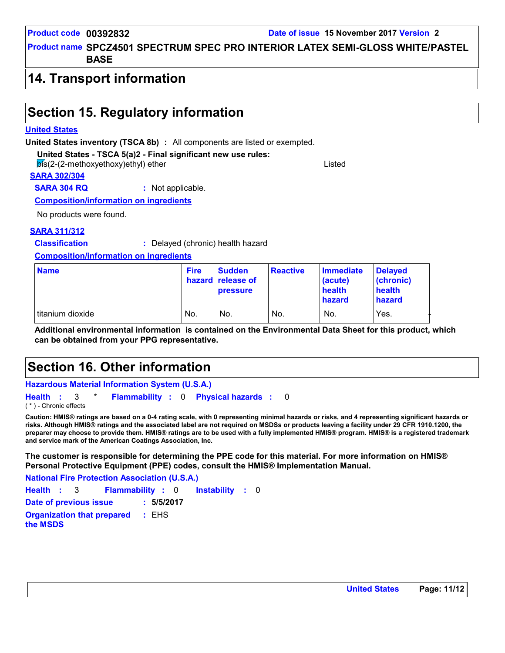### **Product name SPCZ4501 SPECTRUM SPEC PRO INTERIOR LATEX SEMI-GLOSS WHITE/PASTEL BASE**

### **14. Transport information**

### **Section 15. Regulatory information**

#### **United States**

**United States inventory (TSCA 8b) :** All components are listed or exempted.

**United States - TSCA 5(a)2 - Final significant new use rules:**

bis(2-(2-methoxyethoxy)ethyl) ether Listed

#### **SARA 302/304**

**SARA 304 RQ :** Not applicable.

**Composition/information on ingredients**

No products were found.

#### **SARA 311/312**

**Classification :** Delayed (chronic) health hazard

#### **Composition/information on ingredients**

| <b>Name</b>      | <b>Fire</b> | <b>Sudden</b><br>hazard release of<br><b>pressure</b> | <b>Reactive</b> | <b>Immediate</b><br>(acute)<br>health<br>hazard | <b>Delayed</b><br>(chronic)<br>health<br>hazard |
|------------------|-------------|-------------------------------------------------------|-----------------|-------------------------------------------------|-------------------------------------------------|
| titanium dioxide | No.         | No.                                                   | No.             | No.                                             | Yes.                                            |

**Additional environmental information is contained on the Environmental Data Sheet for this product, which can be obtained from your PPG representative.**

### **Section 16. Other information**

#### **Hazardous Material Information System (U.S.A.)**

**Health** : 3 \* **Flammability** : 0 **Physical hazards** : 0 0 ( \* ) - Chronic effects

**Caution: HMIS® ratings are based on a 0-4 rating scale, with 0 representing minimal hazards or risks, and 4 representing significant hazards or risks. Although HMIS® ratings and the associated label are not required on MSDSs or products leaving a facility under 29 CFR 1910.1200, the preparer may choose to provide them. HMIS® ratings are to be used with a fully implemented HMIS® program. HMIS® is a registered trademark and service mark of the American Coatings Association, Inc.**

**The customer is responsible for determining the PPE code for this material. For more information on HMIS® Personal Protective Equipment (PPE) codes, consult the HMIS® Implementation Manual.**

Instability : 0 **National Fire Protection Association (U.S.A.) Health**: 3 **Flammability**: 0 **Instability**: 0 **Date of previous issue : 5/5/2017 Organization that prepared the MSDS :** EHS